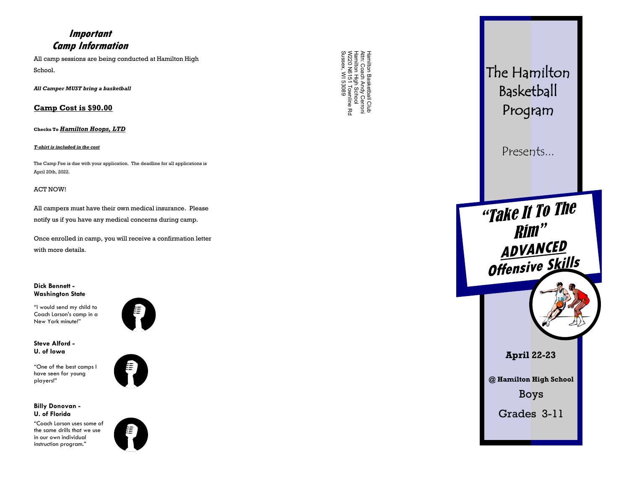## **Important Camp Information**

All camp sessions are being conducted at Hamilton High School.

*All Camper MUST bring a basketball* 

### **Camp Cost is \$90.00**

**Checks To** *Hamilton Hoops, LTD*

#### *T-shirt is included in the cost*

The Camp Fee is due with your application. The deadline for all applications is April 20th, 2022.

#### ACT NOW!

All campers must have their own medical insurance. Please notify us if you have any medical concerns during camp.

Once enrolled in camp, you will receive a confirmation letter with more details.

**Dick Bennett - Washington State**

"I would send my child to Coach Larson's camp in a New York minute!"



**Steve Alford - U. of Iowa**

"One of the best camps I have seen for young players!"

### **Billy Donovan - U. of Florida**

"Coach Larson uses some of the same drills that we use in our own individual instruction program."



Hamilton Basketball Club<br>Attn: Coach Andy Cerroni<br>Hamilton High School<br>W220 N6151 Townline Rd<br>Sussex, WI 53089 Sussex, WI 53089 W220 N6151 Townline Rd Attn: Coach Andy Cerroni Hamilton High School Hamilton Basketball Club